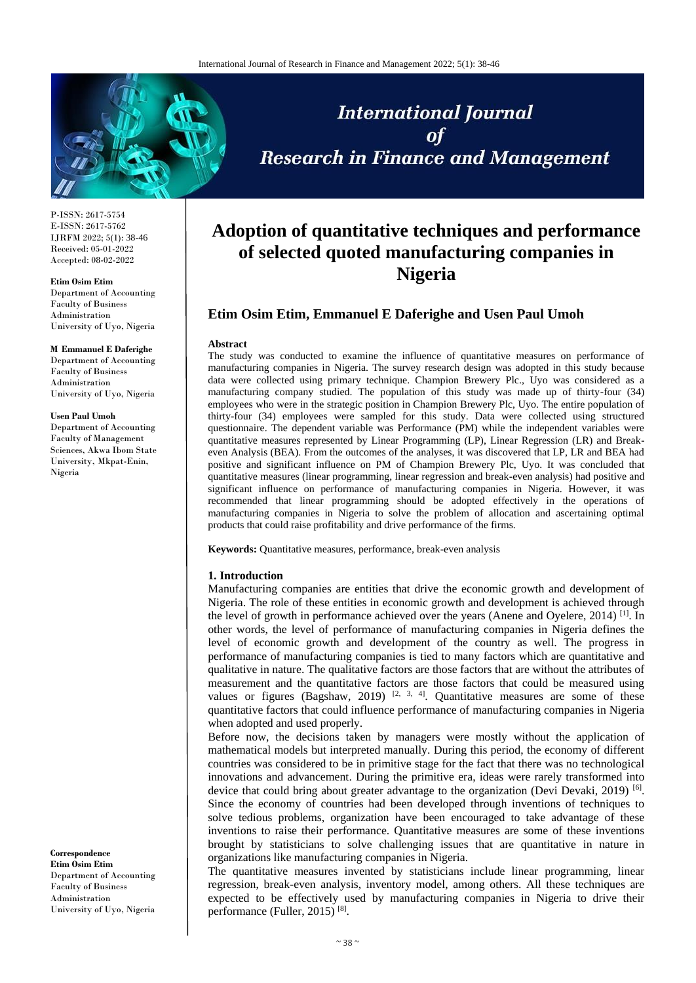

P-ISSN: 2617-5754 E-ISSN: 2617-5762 IJRFM 2022; 5(1): 38-46 Received: 05-01-2022 Accepted: 08-02-2022

#### **Etim Osim Etim**

Department of Accounting Faculty of Business Administration University of Uyo, Nigeria

#### **M Emmanuel E Daferighe**

Department of Accounting Faculty of Business Administration University of Uyo, Nigeria

### **Usen Paul Umoh**

Department of Accounting Faculty of Management Sciences, Akwa Ibom State University, Mkpat-Enin, Nigeria

**Correspondence Etim Osim Etim** Department of Accounting Faculty of Business Administration University of Uyo, Nigeria

# **International Journal** of **Research in Finance and Management**

# **Adoption of quantitative techniques and performance of selected quoted manufacturing companies in Nigeria**

# **Etim Osim Etim, Emmanuel E Daferighe and Usen Paul Umoh**

#### **Abstract**

The study was conducted to examine the influence of quantitative measures on performance of manufacturing companies in Nigeria. The survey research design was adopted in this study because data were collected using primary technique. Champion Brewery Plc., Uyo was considered as a manufacturing company studied. The population of this study was made up of thirty-four (34) employees who were in the strategic position in Champion Brewery Plc, Uyo. The entire population of thirty-four (34) employees were sampled for this study. Data were collected using structured questionnaire. The dependent variable was Performance (PM) while the independent variables were quantitative measures represented by Linear Programming (LP), Linear Regression (LR) and Breakeven Analysis (BEA). From the outcomes of the analyses, it was discovered that LP, LR and BEA had positive and significant influence on PM of Champion Brewery Plc, Uyo. It was concluded that quantitative measures (linear programming, linear regression and break-even analysis) had positive and significant influence on performance of manufacturing companies in Nigeria. However, it was recommended that linear programming should be adopted effectively in the operations of manufacturing companies in Nigeria to solve the problem of allocation and ascertaining optimal products that could raise profitability and drive performance of the firms.

**Keywords:** Quantitative measures, performance, break-even analysis

#### **1. Introduction**

Manufacturing companies are entities that drive the economic growth and development of Nigeria. The role of these entities in economic growth and development is achieved through the level of growth in performance achieved over the years (Anene and Oyelere, 2014)<sup>[1]</sup>. In other words, the level of performance of manufacturing companies in Nigeria defines the level of economic growth and development of the country as well. The progress in performance of manufacturing companies is tied to many factors which are quantitative and qualitative in nature. The qualitative factors are those factors that are without the attributes of measurement and the quantitative factors are those factors that could be measured using values or figures (Bagshaw, 2019)  $[2, 3, 4]$ . Quantitative measures are some of these quantitative factors that could influence performance of manufacturing companies in Nigeria when adopted and used properly.

Before now, the decisions taken by managers were mostly without the application of mathematical models but interpreted manually. During this period, the economy of different countries was considered to be in primitive stage for the fact that there was no technological innovations and advancement. During the primitive era, ideas were rarely transformed into device that could bring about greater advantage to the organization (Devi Devaki, 2019)<sup>[6]</sup>. Since the economy of countries had been developed through inventions of techniques to solve tedious problems, organization have been encouraged to take advantage of these inventions to raise their performance. Quantitative measures are some of these inventions brought by statisticians to solve challenging issues that are quantitative in nature in organizations like manufacturing companies in Nigeria.

The quantitative measures invented by statisticians include linear programming, linear regression, break-even analysis, inventory model, among others. All these techniques are expected to be effectively used by manufacturing companies in Nigeria to drive their performance (Fuller, 2015)<sup>[8]</sup>.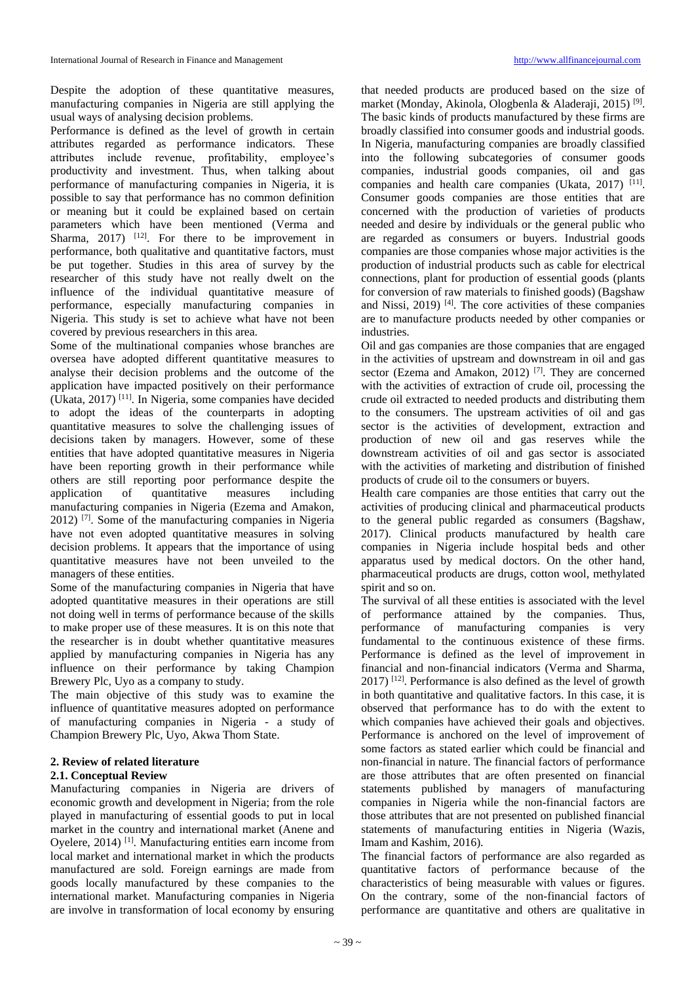Despite the adoption of these quantitative measures, manufacturing companies in Nigeria are still applying the usual ways of analysing decision problems.

Performance is defined as the level of growth in certain attributes regarded as performance indicators. These attributes include revenue, profitability, employee's productivity and investment. Thus, when talking about performance of manufacturing companies in Nigeria, it is possible to say that performance has no common definition or meaning but it could be explained based on certain parameters which have been mentioned (Verma and Sharma,  $2017$ ) <sup>[12]</sup>. For there to be improvement in performance, both qualitative and quantitative factors, must be put together. Studies in this area of survey by the researcher of this study have not really dwelt on the influence of the individual quantitative measure of performance, especially manufacturing companies in Nigeria. This study is set to achieve what have not been covered by previous researchers in this area.

Some of the multinational companies whose branches are oversea have adopted different quantitative measures to analyse their decision problems and the outcome of the application have impacted positively on their performance (Ukata, 2017) [11] . In Nigeria, some companies have decided to adopt the ideas of the counterparts in adopting quantitative measures to solve the challenging issues of decisions taken by managers. However, some of these entities that have adopted quantitative measures in Nigeria have been reporting growth in their performance while others are still reporting poor performance despite the application of quantitative measures including manufacturing companies in Nigeria (Ezema and Amakon, 2012) [7] . Some of the manufacturing companies in Nigeria have not even adopted quantitative measures in solving decision problems. It appears that the importance of using quantitative measures have not been unveiled to the managers of these entities.

Some of the manufacturing companies in Nigeria that have adopted quantitative measures in their operations are still not doing well in terms of performance because of the skills to make proper use of these measures. It is on this note that the researcher is in doubt whether quantitative measures applied by manufacturing companies in Nigeria has any influence on their performance by taking Champion Brewery Plc, Uyo as a company to study.

The main objective of this study was to examine the influence of quantitative measures adopted on performance of manufacturing companies in Nigeria - a study of Champion Brewery Plc, Uyo, Akwa Thom State.

### **2. Review of related literature**

### **2.1. Conceptual Review**

Manufacturing companies in Nigeria are drivers of economic growth and development in Nigeria; from the role played in manufacturing of essential goods to put in local market in the country and international market (Anene and Oyelere, 2014)<sup>[1]</sup>. Manufacturing entities earn income from local market and international market in which the products manufactured are sold. Foreign earnings are made from goods locally manufactured by these companies to the international market. Manufacturing companies in Nigeria are involve in transformation of local economy by ensuring

that needed products are produced based on the size of market (Monday, Akinola, Ologbenla & Aladeraji, 2015)<sup>[9]</sup>. The basic kinds of products manufactured by these firms are broadly classified into consumer goods and industrial goods. In Nigeria, manufacturing companies are broadly classified into the following subcategories of consumer goods companies, industrial goods companies, oil and gas companies and health care companies (Ukata, 2017)<sup>[11]</sup>. Consumer goods companies are those entities that are concerned with the production of varieties of products needed and desire by individuals or the general public who are regarded as consumers or buyers. Industrial goods companies are those companies whose major activities is the production of industrial products such as cable for electrical connections, plant for production of essential goods (plants for conversion of raw materials to finished goods) (Bagshaw and Nissi, 2019)<sup>[4]</sup>. The core activities of these companies are to manufacture products needed by other companies or industries.

Oil and gas companies are those companies that are engaged in the activities of upstream and downstream in oil and gas sector (Ezema and Amakon, 2012)<sup>[7]</sup>. They are concerned with the activities of extraction of crude oil, processing the crude oil extracted to needed products and distributing them to the consumers. The upstream activities of oil and gas sector is the activities of development, extraction and production of new oil and gas reserves while the downstream activities of oil and gas sector is associated with the activities of marketing and distribution of finished products of crude oil to the consumers or buyers.

Health care companies are those entities that carry out the activities of producing clinical and pharmaceutical products to the general public regarded as consumers (Bagshaw, 2017). Clinical products manufactured by health care companies in Nigeria include hospital beds and other apparatus used by medical doctors. On the other hand, pharmaceutical products are drugs, cotton wool, methylated spirit and so on.

The survival of all these entities is associated with the level of performance attained by the companies. Thus, performance of manufacturing companies is very fundamental to the continuous existence of these firms. Performance is defined as the level of improvement in financial and non-financial indicators (Verma and Sharma,  $2017$ ) <sup>[12]</sup>. Performance is also defined as the level of growth in both quantitative and qualitative factors. In this case, it is observed that performance has to do with the extent to which companies have achieved their goals and objectives. Performance is anchored on the level of improvement of some factors as stated earlier which could be financial and non-financial in nature. The financial factors of performance are those attributes that are often presented on financial statements published by managers of manufacturing companies in Nigeria while the non-financial factors are those attributes that are not presented on published financial statements of manufacturing entities in Nigeria (Wazis, Imam and Kashim, 2016).

The financial factors of performance are also regarded as quantitative factors of performance because of the characteristics of being measurable with values or figures. On the contrary, some of the non-financial factors of performance are quantitative and others are qualitative in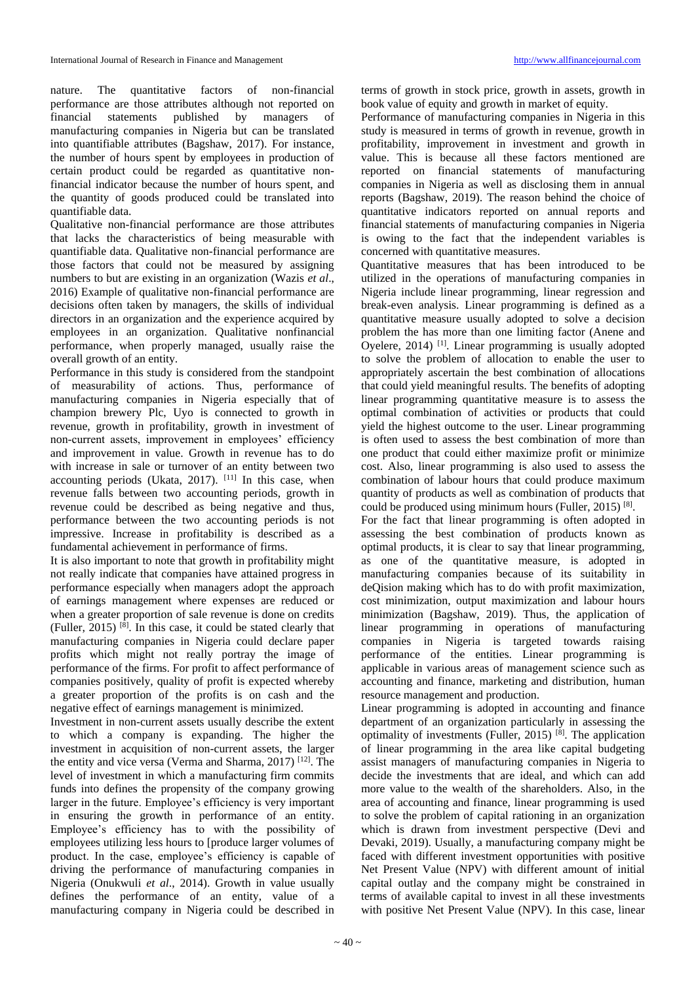nature. The quantitative factors of non-financial performance are those attributes although not reported on financial statements published by managers of manufacturing companies in Nigeria but can be translated into quantifiable attributes (Bagshaw, 2017). For instance, the number of hours spent by employees in production of certain product could be regarded as quantitative nonfinancial indicator because the number of hours spent, and the quantity of goods produced could be translated into quantifiable data.

Qualitative non-financial performance are those attributes that lacks the characteristics of being measurable with quantifiable data. Qualitative non-financial performance are those factors that could not be measured by assigning numbers to but are existing in an organization (Wazis *et al*., 2016) Example of qualitative non-financial performance are decisions often taken by managers, the skills of individual directors in an organization and the experience acquired by employees in an organization. Qualitative nonfinancial performance, when properly managed, usually raise the overall growth of an entity.

Performance in this study is considered from the standpoint of measurability of actions. Thus, performance of manufacturing companies in Nigeria especially that of champion brewery Plc, Uyo is connected to growth in revenue, growth in profitability, growth in investment of non-current assets, improvement in employees' efficiency and improvement in value. Growth in revenue has to do with increase in sale or turnover of an entity between two accounting periods (Ukata, 2017).  $[11]$  In this case, when revenue falls between two accounting periods, growth in revenue could be described as being negative and thus, performance between the two accounting periods is not impressive. Increase in profitability is described as a fundamental achievement in performance of firms.

It is also important to note that growth in profitability might not really indicate that companies have attained progress in performance especially when managers adopt the approach of earnings management where expenses are reduced or when a greater proportion of sale revenue is done on credits (Fuller, 2015) [8] . In this case, it could be stated clearly that manufacturing companies in Nigeria could declare paper profits which might not really portray the image of performance of the firms. For profit to affect performance of companies positively, quality of profit is expected whereby a greater proportion of the profits is on cash and the negative effect of earnings management is minimized.

Investment in non-current assets usually describe the extent to which a company is expanding. The higher the investment in acquisition of non-current assets, the larger the entity and vice versa (Verma and Sharma, 2017) [12] . The level of investment in which a manufacturing firm commits funds into defines the propensity of the company growing larger in the future. Employee's efficiency is very important in ensuring the growth in performance of an entity. Employee's efficiency has to with the possibility of employees utilizing less hours to [produce larger volumes of product. In the case, employee's efficiency is capable of driving the performance of manufacturing companies in Nigeria (Onukwuli *et al*., 2014). Growth in value usually defines the performance of an entity, value of a manufacturing company in Nigeria could be described in

terms of growth in stock price, growth in assets, growth in book value of equity and growth in market of equity.

Performance of manufacturing companies in Nigeria in this study is measured in terms of growth in revenue, growth in profitability, improvement in investment and growth in value. This is because all these factors mentioned are reported on financial statements of manufacturing companies in Nigeria as well as disclosing them in annual reports (Bagshaw, 2019). The reason behind the choice of quantitative indicators reported on annual reports and financial statements of manufacturing companies in Nigeria is owing to the fact that the independent variables is concerned with quantitative measures.

Quantitative measures that has been introduced to be utilized in the operations of manufacturing companies in Nigeria include linear programming, linear regression and break-even analysis. Linear programming is defined as a quantitative measure usually adopted to solve a decision problem the has more than one limiting factor (Anene and Oyelere, 2014)<sup>[1]</sup>. Linear programming is usually adopted to solve the problem of allocation to enable the user to appropriately ascertain the best combination of allocations that could yield meaningful results. The benefits of adopting linear programming quantitative measure is to assess the optimal combination of activities or products that could yield the highest outcome to the user. Linear programming is often used to assess the best combination of more than one product that could either maximize profit or minimize cost. Also, linear programming is also used to assess the combination of labour hours that could produce maximum quantity of products as well as combination of products that could be produced using minimum hours (Fuller, 2015)<sup>[8]</sup>.

For the fact that linear programming is often adopted in assessing the best combination of products known as optimal products, it is clear to say that linear programming, as one of the quantitative measure, is adopted in manufacturing companies because of its suitability in deQision making which has to do with profit maximization, cost minimization, output maximization and labour hours minimization (Bagshaw, 2019). Thus, the application of linear programming in operations of manufacturing companies in Nigeria is targeted towards raising performance of the entities. Linear programming is applicable in various areas of management science such as accounting and finance, marketing and distribution, human resource management and production.

Linear programming is adopted in accounting and finance department of an organization particularly in assessing the optimality of investments (Fuller, 2015) [8] . The application of linear programming in the area like capital budgeting assist managers of manufacturing companies in Nigeria to decide the investments that are ideal, and which can add more value to the wealth of the shareholders. Also, in the area of accounting and finance, linear programming is used to solve the problem of capital rationing in an organization which is drawn from investment perspective (Devi and Devaki, 2019). Usually, a manufacturing company might be faced with different investment opportunities with positive Net Present Value (NPV) with different amount of initial capital outlay and the company might be constrained in terms of available capital to invest in all these investments with positive Net Present Value (NPV). In this case, linear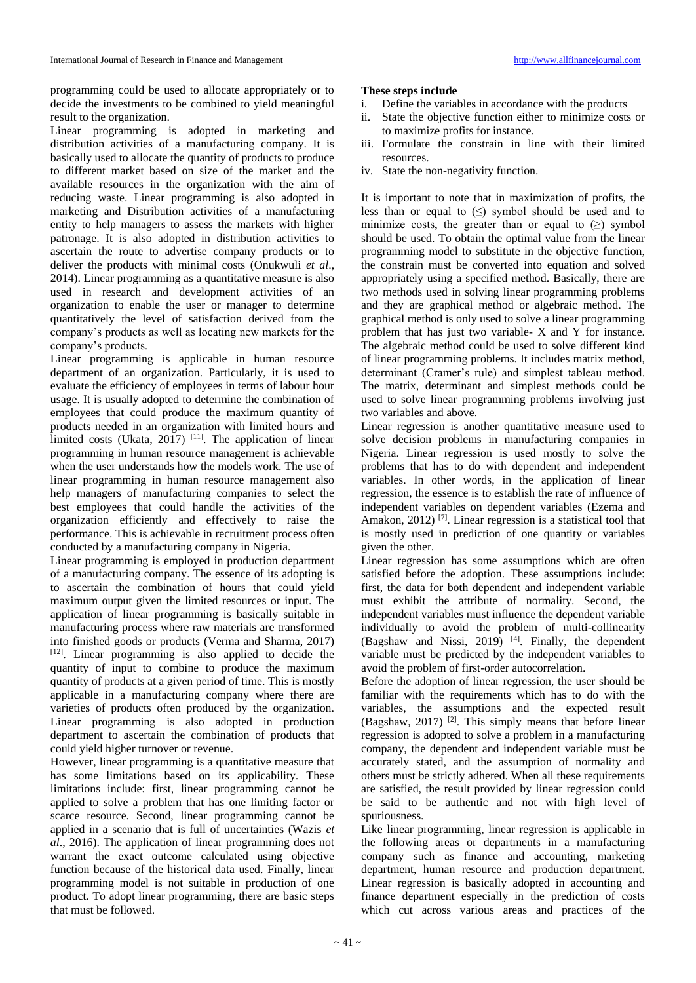programming could be used to allocate appropriately or to decide the investments to be combined to yield meaningful result to the organization.

Linear programming is adopted in marketing and distribution activities of a manufacturing company. It is basically used to allocate the quantity of products to produce to different market based on size of the market and the available resources in the organization with the aim of reducing waste. Linear programming is also adopted in marketing and Distribution activities of a manufacturing entity to help managers to assess the markets with higher patronage. It is also adopted in distribution activities to ascertain the route to advertise company products or to deliver the products with minimal costs (Onukwuli *et al*., 2014). Linear programming as a quantitative measure is also used in research and development activities of an organization to enable the user or manager to determine quantitatively the level of satisfaction derived from the company's products as well as locating new markets for the company's products.

Linear programming is applicable in human resource department of an organization. Particularly, it is used to evaluate the efficiency of employees in terms of labour hour usage. It is usually adopted to determine the combination of employees that could produce the maximum quantity of products needed in an organization with limited hours and limited costs (Ukata, 2017)<sup>[11]</sup>. The application of linear programming in human resource management is achievable when the user understands how the models work. The use of linear programming in human resource management also help managers of manufacturing companies to select the best employees that could handle the activities of the organization efficiently and effectively to raise the performance. This is achievable in recruitment process often conducted by a manufacturing company in Nigeria.

Linear programming is employed in production department of a manufacturing company. The essence of its adopting is to ascertain the combination of hours that could yield maximum output given the limited resources or input. The application of linear programming is basically suitable in manufacturing process where raw materials are transformed into finished goods or products (Verma and Sharma, 2017) [12] . Linear programming is also applied to decide the quantity of input to combine to produce the maximum quantity of products at a given period of time. This is mostly applicable in a manufacturing company where there are varieties of products often produced by the organization. Linear programming is also adopted in production department to ascertain the combination of products that could yield higher turnover or revenue.

However, linear programming is a quantitative measure that has some limitations based on its applicability. These limitations include: first, linear programming cannot be applied to solve a problem that has one limiting factor or scarce resource. Second, linear programming cannot be applied in a scenario that is full of uncertainties (Wazis *et al*., 2016). The application of linear programming does not warrant the exact outcome calculated using objective function because of the historical data used. Finally, linear programming model is not suitable in production of one product. To adopt linear programming, there are basic steps that must be followed.

## **These steps include**

- i. Define the variables in accordance with the products
- ii. State the objective function either to minimize costs or to maximize profits for instance.
- iii. Formulate the constrain in line with their limited resources.
- iv. State the non-negativity function.

It is important to note that in maximization of profits, the less than or equal to  $(\le)$  symbol should be used and to minimize costs, the greater than or equal to  $(\ge)$  symbol should be used. To obtain the optimal value from the linear programming model to substitute in the objective function, the constrain must be converted into equation and solved appropriately using a specified method. Basically, there are two methods used in solving linear programming problems and they are graphical method or algebraic method. The graphical method is only used to solve a linear programming problem that has just two variable- X and Y for instance. The algebraic method could be used to solve different kind of linear programming problems. It includes matrix method, determinant (Cramer's rule) and simplest tableau method. The matrix, determinant and simplest methods could be used to solve linear programming problems involving just two variables and above.

Linear regression is another quantitative measure used to solve decision problems in manufacturing companies in Nigeria. Linear regression is used mostly to solve the problems that has to do with dependent and independent variables. In other words, in the application of linear regression, the essence is to establish the rate of influence of independent variables on dependent variables (Ezema and Amakon, 2012)<sup>[7]</sup>. Linear regression is a statistical tool that is mostly used in prediction of one quantity or variables given the other.

Linear regression has some assumptions which are often satisfied before the adoption. These assumptions include: first, the data for both dependent and independent variable must exhibit the attribute of normality. Second, the independent variables must influence the dependent variable individually to avoid the problem of multi-collinearity (Bagshaw and Nissi, 2019)<sup>[4]</sup>. Finally, the dependent variable must be predicted by the independent variables to avoid the problem of first-order autocorrelation.

Before the adoption of linear regression, the user should be familiar with the requirements which has to do with the variables, the assumptions and the expected result (Bagshaw, 2017) [2] . This simply means that before linear regression is adopted to solve a problem in a manufacturing company, the dependent and independent variable must be accurately stated, and the assumption of normality and others must be strictly adhered. When all these requirements are satisfied, the result provided by linear regression could be said to be authentic and not with high level of spuriousness.

Like linear programming, linear regression is applicable in the following areas or departments in a manufacturing company such as finance and accounting, marketing department, human resource and production department. Linear regression is basically adopted in accounting and finance department especially in the prediction of costs which cut across various areas and practices of the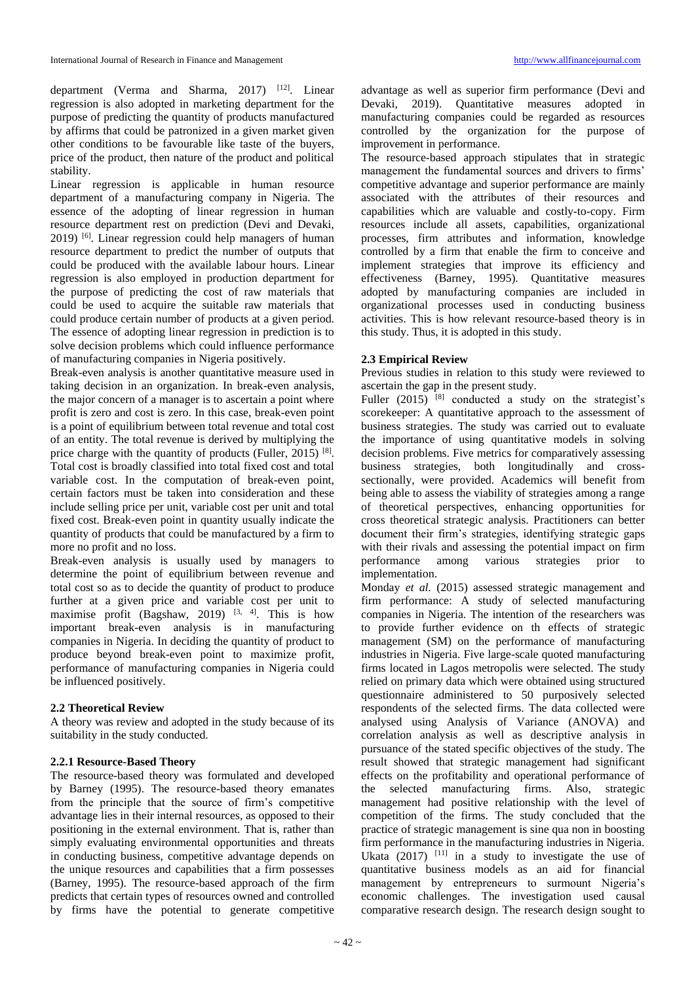department (Verma and Sharma, 2017) <sup>[12]</sup>. Linear regression is also adopted in marketing department for the purpose of predicting the quantity of products manufactured by affirms that could be patronized in a given market given other conditions to be favourable like taste of the buyers, price of the product, then nature of the product and political stability.

Linear regression is applicable in human resource department of a manufacturing company in Nigeria. The essence of the adopting of linear regression in human resource department rest on prediction (Devi and Devaki, 2019) [6] . Linear regression could help managers of human resource department to predict the number of outputs that could be produced with the available labour hours. Linear regression is also employed in production department for the purpose of predicting the cost of raw materials that could be used to acquire the suitable raw materials that could produce certain number of products at a given period. The essence of adopting linear regression in prediction is to solve decision problems which could influence performance of manufacturing companies in Nigeria positively.

Break-even analysis is another quantitative measure used in taking decision in an organization. In break-even analysis, the major concern of a manager is to ascertain a point where profit is zero and cost is zero. In this case, break-even point is a point of equilibrium between total revenue and total cost of an entity. The total revenue is derived by multiplying the price charge with the quantity of products (Fuller, 2015)  $[8]$ . Total cost is broadly classified into total fixed cost and total variable cost. In the computation of break-even point, certain factors must be taken into consideration and these include selling price per unit, variable cost per unit and total fixed cost. Break-even point in quantity usually indicate the quantity of products that could be manufactured by a firm to more no profit and no loss.

Break-even analysis is usually used by managers to determine the point of equilibrium between revenue and total cost so as to decide the quantity of product to produce further at a given price and variable cost per unit to maximise profit (Bagshaw, 2019)  $[3, 4]$ . This is how important break-even analysis is in manufacturing companies in Nigeria. In deciding the quantity of product to produce beyond break-even point to maximize profit, performance of manufacturing companies in Nigeria could be influenced positively.

### **2.2 Theoretical Review**

A theory was review and adopted in the study because of its suitability in the study conducted.

### **2.2.1 Resource-Based Theory**

The resource-based theory was formulated and developed by Barney (1995). The resource-based theory emanates from the principle that the source of firm's competitive advantage lies in their internal resources, as opposed to their positioning in the external environment. That is, rather than simply evaluating environmental opportunities and threats in conducting business, competitive advantage depends on the unique resources and capabilities that a firm possesses (Barney, 1995). The resource-based approach of the firm predicts that certain types of resources owned and controlled by firms have the potential to generate competitive advantage as well as superior firm performance (Devi and Devaki, 2019). Quantitative measures adopted in manufacturing companies could be regarded as resources controlled by the organization for the purpose of improvement in performance.

The resource-based approach stipulates that in strategic management the fundamental sources and drivers to firms' competitive advantage and superior performance are mainly associated with the attributes of their resources and capabilities which are valuable and costly-to-copy. Firm resources include all assets, capabilities, organizational processes, firm attributes and information, knowledge controlled by a firm that enable the firm to conceive and implement strategies that improve its efficiency and effectiveness (Barney, 1995). Quantitative measures adopted by manufacturing companies are included in organizational processes used in conducting business activities. This is how relevant resource-based theory is in this study. Thus, it is adopted in this study.

### **2.3 Empirical Review**

Previous studies in relation to this study were reviewed to ascertain the gap in the present study.

Fuller (2015) <sup>[8]</sup> conducted a study on the strategist's scorekeeper: A quantitative approach to the assessment of business strategies. The study was carried out to evaluate the importance of using quantitative models in solving decision problems. Five metrics for comparatively assessing business strategies, both longitudinally and crosssectionally, were provided. Academics will benefit from being able to assess the viability of strategies among a range of theoretical perspectives, enhancing opportunities for cross theoretical strategic analysis. Practitioners can better document their firm's strategies, identifying strategic gaps with their rivals and assessing the potential impact on firm<br>performance among various strategies prior to various strategies prior to implementation.

Monday *et al.* (2015) assessed strategic management and firm performance: A study of selected manufacturing companies in Nigeria. The intention of the researchers was to provide further evidence on th effects of strategic management (SM) on the performance of manufacturing industries in Nigeria. Five large-scale quoted manufacturing firms located in Lagos metropolis were selected. The study relied on primary data which were obtained using structured questionnaire administered to 50 purposively selected respondents of the selected firms. The data collected were analysed using Analysis of Variance (ANOVA) and correlation analysis as well as descriptive analysis in pursuance of the stated specific objectives of the study. The result showed that strategic management had significant effects on the profitability and operational performance of the selected manufacturing firms. Also, strategic management had positive relationship with the level of competition of the firms. The study concluded that the practice of strategic management is sine qua non in boosting firm performance in the manufacturing industries in Nigeria. Ukata  $(2017)$ <sup>[11]</sup> in a study to investigate the use of quantitative business models as an aid for financial management by entrepreneurs to surmount Nigeria's economic challenges. The investigation used causal comparative research design. The research design sought to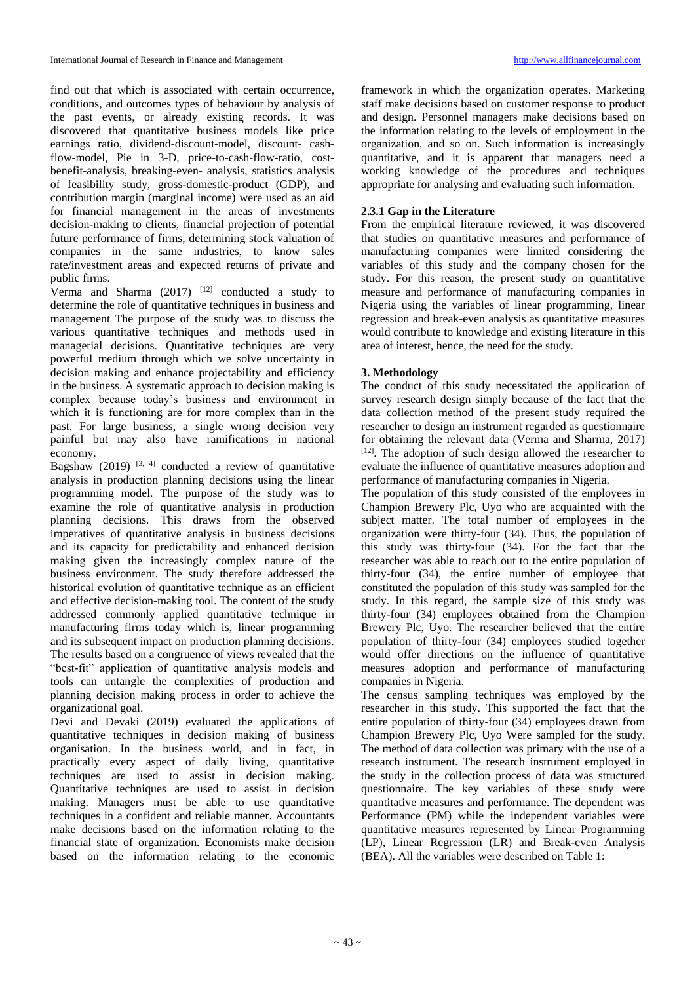find out that which is associated with certain occurrence, conditions, and outcomes types of behaviour by analysis of the past events, or already existing records. It was discovered that quantitative business models like price earnings ratio, dividend-discount-model, discount- cashflow-model, Pie in 3-D, price-to-cash-flow-ratio, costbenefit-analysis, breaking-even- analysis, statistics analysis of feasibility study, gross-domestic-product (GDP), and contribution margin (marginal income) were used as an aid for financial management in the areas of investments decision-making to clients, financial projection of potential future performance of firms, determining stock valuation of companies in the same industries, to know sales rate/investment areas and expected returns of private and public firms.

Verma and Sharma  $(2017)$ <sup>[12]</sup> conducted a study to determine the role of quantitative techniques in business and management The purpose of the study was to discuss the various quantitative techniques and methods used in managerial decisions. Quantitative techniques are very powerful medium through which we solve uncertainty in decision making and enhance projectability and efficiency in the business. A systematic approach to decision making is complex because today's business and environment in which it is functioning are for more complex than in the past. For large business, a single wrong decision very painful but may also have ramifications in national economy.

Bagshaw  $(2019)$  <sup>[3, 4]</sup> conducted a review of quantitative analysis in production planning decisions using the linear programming model. The purpose of the study was to examine the role of quantitative analysis in production planning decisions. This draws from the observed imperatives of quantitative analysis in business decisions and its capacity for predictability and enhanced decision making given the increasingly complex nature of the business environment. The study therefore addressed the historical evolution of quantitative technique as an efficient and effective decision-making tool. The content of the study addressed commonly applied quantitative technique in manufacturing firms today which is, linear programming and its subsequent impact on production planning decisions. The results based on a congruence of views revealed that the "best-fit" application of quantitative analysis models and tools can untangle the complexities of production and planning decision making process in order to achieve the organizational goal.

Devi and Devaki (2019) evaluated the applications of quantitative techniques in decision making of business organisation. In the business world, and in fact, in practically every aspect of daily living, quantitative techniques are used to assist in decision making. Quantitative techniques are used to assist in decision making. Managers must be able to use quantitative techniques in a confident and reliable manner. Accountants make decisions based on the information relating to the financial state of organization. Economists make decision based on the information relating to the economic

framework in which the organization operates. Marketing staff make decisions based on customer response to product and design. Personnel managers make decisions based on the information relating to the levels of employment in the organization, and so on. Such information is increasingly quantitative, and it is apparent that managers need a working knowledge of the procedures and techniques appropriate for analysing and evaluating such information.

# **2.3.1 Gap in the Literature**

From the empirical literature reviewed, it was discovered that studies on quantitative measures and performance of manufacturing companies were limited considering the variables of this study and the company chosen for the study. For this reason, the present study on quantitative measure and performance of manufacturing companies in Nigeria using the variables of linear programming, linear regression and break-even analysis as quantitative measures would contribute to knowledge and existing literature in this area of interest, hence, the need for the study.

## **3. Methodology**

The conduct of this study necessitated the application of survey research design simply because of the fact that the data collection method of the present study required the researcher to design an instrument regarded as questionnaire for obtaining the relevant data (Verma and Sharma, 2017) [12]. The adoption of such design allowed the researcher to evaluate the influence of quantitative measures adoption and performance of manufacturing companies in Nigeria.

The population of this study consisted of the employees in Champion Brewery Plc, Uyo who are acquainted with the subject matter. The total number of employees in the organization were thirty-four (34). Thus, the population of this study was thirty-four (34). For the fact that the researcher was able to reach out to the entire population of thirty-four (34), the entire number of employee that constituted the population of this study was sampled for the study. In this regard, the sample size of this study was thirty-four (34) employees obtained from the Champion Brewery Plc, Uyo. The researcher believed that the entire population of thirty-four (34) employees studied together would offer directions on the influence of quantitative measures adoption and performance of manufacturing companies in Nigeria.

The census sampling techniques was employed by the researcher in this study. This supported the fact that the entire population of thirty-four (34) employees drawn from Champion Brewery Plc, Uyo Were sampled for the study. The method of data collection was primary with the use of a research instrument. The research instrument employed in the study in the collection process of data was structured questionnaire. The key variables of these study were quantitative measures and performance. The dependent was Performance (PM) while the independent variables were quantitative measures represented by Linear Programming (LP), Linear Regression (LR) and Break-even Analysis (BEA). All the variables were described on Table 1: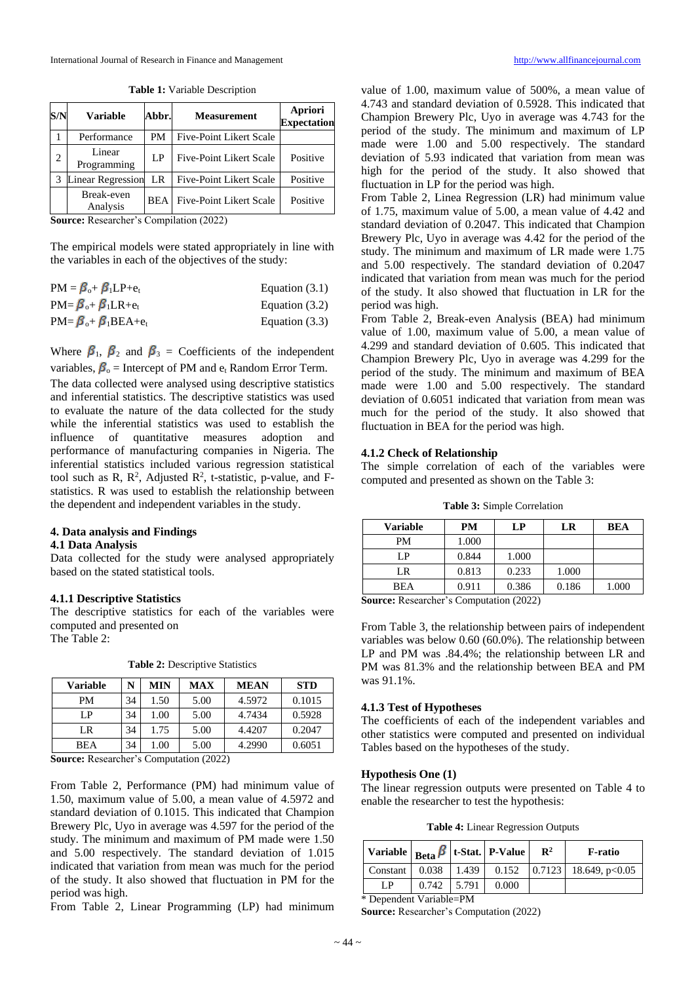| S/N | <b>Variable</b>          | Abbr.      | <b>Measurement</b>             | <b>Apriori</b><br><b>Expectation</b> |
|-----|--------------------------|------------|--------------------------------|--------------------------------------|
|     | Performance              | PM         | <b>Five-Point Likert Scale</b> |                                      |
| 2   | Linear<br>Programming    | LP         | <b>Five-Point Likert Scale</b> | Positive                             |
|     | <b>Linear Regression</b> | LR         | <b>Five-Point Likert Scale</b> | Positive                             |
|     | Break-even<br>Analysis   | <b>BEA</b> | <b>Five-Point Likert Scale</b> | Positive                             |

**Table 1:** Variable Description

**Source:** Researcher's Compilation (2022)

The empirical models were stated appropriately in line with the variables in each of the objectives of the study:

| $PM = \beta_{0} + \beta_{1}LP + e_{t}$   | Equation $(3.1)$ |
|------------------------------------------|------------------|
| $PM = \beta_{0} + \beta_{1}LR + e_{t}$   | Equation $(3.2)$ |
| $PM = \beta_{0} + \beta_{1} BEA + e_{t}$ | Equation $(3.3)$ |

Where  $\beta_1$ ,  $\beta_2$  and  $\beta_3$  = Coefficients of the independent variables,  $\beta_0$  = Intercept of PM and  $e_t$  Random Error Term.

The data collected were analysed using descriptive statistics and inferential statistics. The descriptive statistics was used to evaluate the nature of the data collected for the study while the inferential statistics was used to establish the influence of quantitative measures adoption and performance of manufacturing companies in Nigeria. The inferential statistics included various regression statistical tool such as R,  $R^2$ , Adjusted  $R^2$ , t-statistic, p-value, and Fstatistics. R was used to establish the relationship between the dependent and independent variables in the study.

# **4. Data analysis and Findings**

# **4.1 Data Analysis**

Data collected for the study were analysed appropriately based on the stated statistical tools.

### **4.1.1 Descriptive Statistics**

The descriptive statistics for each of the variables were computed and presented on The Table 2:

| <b>Variable</b> | N  | MIN  | <b>MAX</b> | <b>MEAN</b> | <b>STD</b> |
|-----------------|----|------|------------|-------------|------------|
| PM              | 34 | 1.50 | 5.00       | 4.5972      | 0.1015     |
| LP.             | 34 | 1.00 | 5.00       | 4.7434      | 0.5928     |
| LR              | 34 | 1.75 | 5.00       | 4.4207      | 0.2047     |
| <b>BEA</b>      | 34 | 1.00 | 5.00       | 4.2990      | 0.6051     |

**Table 2:** Descriptive Statistics

**Source:** Researcher's Computation (2022)

From Table 2, Performance (PM) had minimum value of 1.50, maximum value of 5.00, a mean value of 4.5972 and standard deviation of 0.1015. This indicated that Champion Brewery Plc, Uyo in average was 4.597 for the period of the study. The minimum and maximum of PM made were 1.50 and 5.00 respectively. The standard deviation of 1.015 indicated that variation from mean was much for the period of the study. It also showed that fluctuation in PM for the period was high.

From Table 2, Linear Programming (LP) had minimum

value of 1.00, maximum value of 500%, a mean value of 4.743 and standard deviation of 0.5928. This indicated that Champion Brewery Plc, Uyo in average was 4.743 for the period of the study. The minimum and maximum of LP made were 1.00 and 5.00 respectively. The standard deviation of 5.93 indicated that variation from mean was high for the period of the study. It also showed that fluctuation in LP for the period was high.

From Table 2, Linea Regression (LR) had minimum value of 1.75, maximum value of 5.00, a mean value of 4.42 and standard deviation of 0.2047. This indicated that Champion Brewery Plc, Uyo in average was 4.42 for the period of the study. The minimum and maximum of LR made were 1.75 and 5.00 respectively. The standard deviation of 0.2047 indicated that variation from mean was much for the period of the study. It also showed that fluctuation in LR for the period was high.

From Table 2, Break-even Analysis (BEA) had minimum value of 1.00, maximum value of 5.00, a mean value of 4.299 and standard deviation of 0.605. This indicated that Champion Brewery Plc, Uyo in average was 4.299 for the period of the study. The minimum and maximum of BEA made were 1.00 and 5.00 respectively. The standard deviation of 0.6051 indicated that variation from mean was much for the period of the study. It also showed that fluctuation in BEA for the period was high.

### **4.1.2 Check of Relationship**

The simple correlation of each of the variables were computed and presented as shown on the Table 3:

| Table 3: Simple Correlation |  |  |  |
|-----------------------------|--|--|--|
|-----------------------------|--|--|--|

| <b>Variable</b> | <b>PM</b> | LP    | LR    | <b>BEA</b> |
|-----------------|-----------|-------|-------|------------|
| <b>PM</b>       | 1.000     |       |       |            |
| I P             | 0.844     | 1.000 |       |            |
| LR              | 0.813     | 0.233 | 1.000 |            |
| BEA             | 0.911     | 0.386 | 0.186 | 1.000      |

**Source:** Researcher's Computation (2022)

From Table 3, the relationship between pairs of independent variables was below 0.60 (60.0%). The relationship between LP and PM was .84.4%; the relationship between LR and PM was 81.3% and the relationship between BEA and PM was 91.1%.

### **4.1.3 Test of Hypotheses**

The coefficients of each of the independent variables and other statistics were computed and presented on individual Tables based on the hypotheses of the study.

#### **Hypothesis One (1)**

The linear regression outputs were presented on Table 4 to enable the researcher to test the hypothesis:

**Table 4:** Linear Regression Outputs

| Variable $ _{\text{Beta}} \beta  $ t-Stat. $ $ P-Value $ $    |               |  |       | $\mathbf{R}^2$ | F-ratio |  |  |
|---------------------------------------------------------------|---------------|--|-------|----------------|---------|--|--|
|                                                               |               |  |       |                |         |  |  |
| LP.                                                           | $0.742$ 5.791 |  | 0.000 |                |         |  |  |
| $\star$ D $\to$ $\star$ $\star$ $\star$ $\to$ $\star$ $\star$ |               |  |       |                |         |  |  |

\* Dependent Variable=PM

**Source:** Researcher's Computation (2022)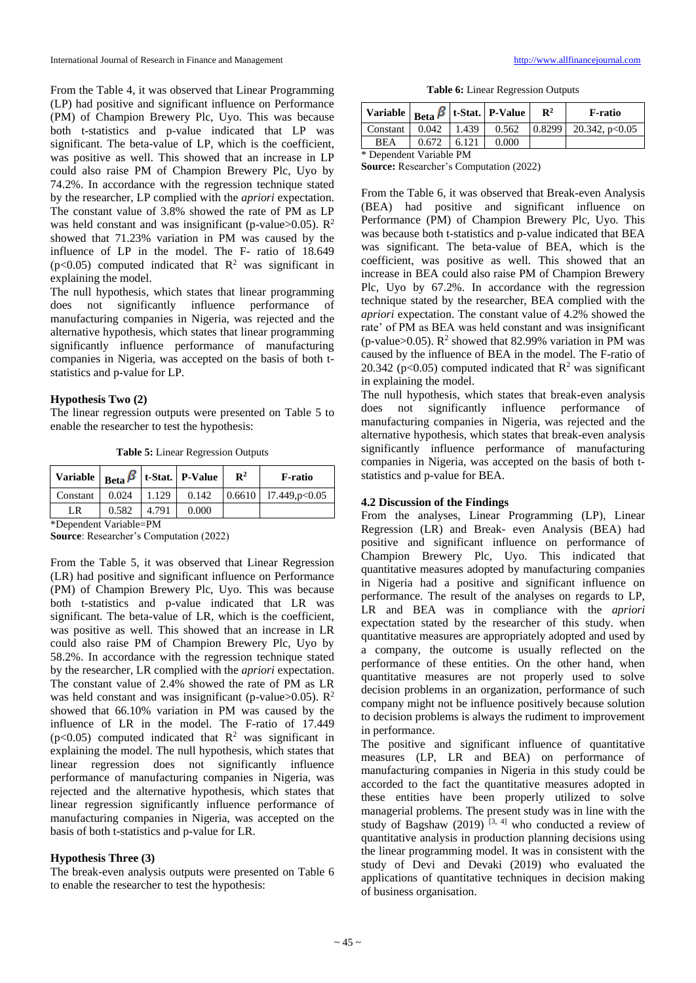From the Table 4, it was observed that Linear Programming (LP) had positive and significant influence on Performance (PM) of Champion Brewery Plc, Uyo. This was because both t-statistics and p-value indicated that LP was significant. The beta-value of LP, which is the coefficient, was positive as well. This showed that an increase in LP could also raise PM of Champion Brewery Plc, Uyo by 74.2%. In accordance with the regression technique stated by the researcher, LP complied with the *apriori* expectation. The constant value of 3.8% showed the rate of PM as LP was held constant and was insignificant (p-value>0.05).  $\mathbb{R}^2$ showed that 71.23% variation in PM was caused by the influence of LP in the model. The F- ratio of 18.649  $(p<0.05)$  computed indicated that  $R^2$  was significant in explaining the model.

The null hypothesis, which states that linear programming does not significantly influence performance of manufacturing companies in Nigeria, was rejected and the alternative hypothesis, which states that linear programming significantly influence performance of manufacturing companies in Nigeria, was accepted on the basis of both tstatistics and p-value for LP.

### **Hypothesis Two (2)**

The linear regression outputs were presented on Table 5 to enable the researcher to test the hypothesis:

**Table 5:** Linear Regression Outputs

| Variable   $_{\text{Beta}}$   t-Stat.   P-Value |       |       |       | $\mathbb{R}^2$ | F-ratio                                     |
|-------------------------------------------------|-------|-------|-------|----------------|---------------------------------------------|
| Constant                                        | 0.024 | 1.129 | 0.142 |                | $\mid 0.6610 \mid 17.449,\mathrm{p} < 0.05$ |
| LR                                              | 0.582 | 4.791 | 0.000 |                |                                             |

\*Dependent Variable=PM

**Source**: Researcher's Computation (2022)

From the Table 5, it was observed that Linear Regression (LR) had positive and significant influence on Performance (PM) of Champion Brewery Plc, Uyo. This was because both t-statistics and p-value indicated that LR was significant. The beta-value of LR, which is the coefficient, was positive as well. This showed that an increase in LR could also raise PM of Champion Brewery Plc, Uyo by 58.2%. In accordance with the regression technique stated by the researcher, LR complied with the *apriori* expectation. The constant value of 2.4% showed the rate of PM as LR was held constant and was insignificant (p-value>0.05).  $\mathbb{R}^2$ showed that 66.10% variation in PM was caused by the influence of LR in the model. The F-ratio of 17.449  $(p<0.05)$  computed indicated that  $R^2$  was significant in explaining the model. The null hypothesis, which states that linear regression does not significantly influence performance of manufacturing companies in Nigeria, was rejected and the alternative hypothesis, which states that linear regression significantly influence performance of manufacturing companies in Nigeria, was accepted on the basis of both t-statistics and p-value for LR.

### **Hypothesis Three (3)**

The break-even analysis outputs were presented on Table 6 to enable the researcher to test the hypothesis:

**Table 6:** Linear Regression Outputs

| Variable   $_{\text{Beta}}$ $\beta$   t-Stat.   P-Value |       |                   |       | $\mathbf{R}^2$ | F-ratio                             |  |  |
|---------------------------------------------------------|-------|-------------------|-------|----------------|-------------------------------------|--|--|
| Constant                                                |       | $0.042 \pm 1.439$ | 0.562 |                | $\vert 0.8299 \vert$ 20.342, p<0.05 |  |  |
| <b>BEA</b>                                              | 0.672 | 6.121             | 0.000 |                |                                     |  |  |
| * Danandant Variabla DM                                 |       |                   |       |                |                                     |  |  |

Dependent Variable PM

**Source:** Researcher's Computation (2022)

From the Table 6, it was observed that Break-even Analysis (BEA) had positive and significant influence on Performance (PM) of Champion Brewery Plc, Uyo. This was because both t-statistics and p-value indicated that BEA was significant. The beta-value of BEA, which is the coefficient, was positive as well. This showed that an increase in BEA could also raise PM of Champion Brewery Plc, Uyo by 67.2%. In accordance with the regression technique stated by the researcher, BEA complied with the *apriori* expectation. The constant value of 4.2% showed the rate' of PM as BEA was held constant and was insignificant (p-value>0.05).  $\mathbb{R}^2$  showed that 82.99% variation in PM was caused by the influence of BEA in the model. The F-ratio of 20.342 ( $p<0.05$ ) computed indicated that  $R^2$  was significant in explaining the model.

The null hypothesis, which states that break-even analysis does not significantly influence performance of manufacturing companies in Nigeria, was rejected and the alternative hypothesis, which states that break-even analysis significantly influence performance of manufacturing companies in Nigeria, was accepted on the basis of both tstatistics and p-value for BEA.

### **4.2 Discussion of the Findings**

From the analyses, Linear Programming (LP), Linear Regression (LR) and Break- even Analysis (BEA) had positive and significant influence on performance of Champion Brewery Plc, Uyo. This indicated that quantitative measures adopted by manufacturing companies in Nigeria had a positive and significant influence on performance. The result of the analyses on regards to LP, LR and BEA was in compliance with the *apriori* expectation stated by the researcher of this study. when quantitative measures are appropriately adopted and used by a company, the outcome is usually reflected on the performance of these entities. On the other hand, when quantitative measures are not properly used to solve decision problems in an organization, performance of such company might not be influence positively because solution to decision problems is always the rudiment to improvement in performance.

The positive and significant influence of quantitative measures (LP, LR and BEA) on performance of manufacturing companies in Nigeria in this study could be accorded to the fact the quantitative measures adopted in these entities have been properly utilized to solve managerial problems. The present study was in line with the study of Bagshaw (2019)  $[3, 4]$  who conducted a review of quantitative analysis in production planning decisions using the linear programming model. It was in consistent with the study of Devi and Devaki (2019) who evaluated the applications of quantitative techniques in decision making of business organisation.